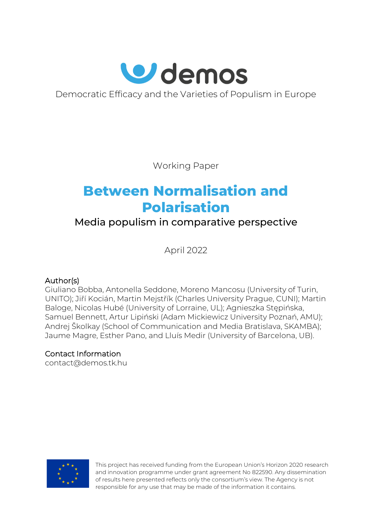

Democratic Efficacy and the Varieties of Populism in Europe

Working Paper

# **Between Normalisation and Polarisation**

# Media populism in comparative perspective

April 2022

## Author(s)

Giuliano Bobba, Antonella Seddone, Moreno Mancosu (University of Turin, UNITO); Jiří Kocián, Martin Mejstřík (Charles University Prague, CUNI); Martin Baloge, Nicolas Hubé (University of Lorraine, UL); Agnieszka Stępińska, Samuel Bennett, Artur Lipiński (Adam Mickiewicz University Poznań, AMU); Andrej Školkay (School of Communication and Media Bratislava, SKAMBA); Jaume Magre, Esther Pano, and Lluís Medir (University of Barcelona, UB).

## Contact Information

[contact@demos.tk.hu](mailto:contact@demos.tk.hu)



This project has received funding from the European Union's Horizon 2020 research and innovation programme under grant agreement No 822590. Any dissemination of results here presented reflects only the consortium's view. The Agency is not responsible for any use that may be made of the information it contains.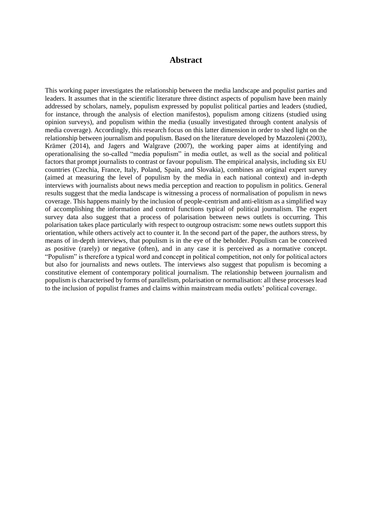#### **Abstract**

This working paper investigates the relationship between the media landscape and populist parties and leaders. It assumes that in the scientific literature three distinct aspects of populism have been mainly addressed by scholars, namely, populism expressed by populist political parties and leaders (studied, for instance, through the analysis of election manifestos), populism among citizens (studied using opinion surveys), and populism within the media (usually investigated through content analysis of media coverage). Accordingly, this research focus on this latter dimension in order to shed light on the relationship between journalism and populism. Based on the literature developed by Mazzoleni (2003), Krämer (2014), and Jagers and Walgrave (2007), the working paper aims at identifying and operationalising the so-called "media populism" in media outlet, as well as the social and political factors that prompt journalists to contrast or favour populism. The empirical analysis, including six EU countries (Czechia, France, Italy, Poland, Spain, and Slovakia), combines an original expert survey (aimed at measuring the level of populism by the media in each national context) and in-depth interviews with journalists about news media perception and reaction to populism in politics. General results suggest that the media landscape is witnessing a process of normalisation of populism in news coverage. This happens mainly by the inclusion of people-centrism and anti-elitism as a simplified way of accomplishing the information and control functions typical of political journalism. The expert survey data also suggest that a process of polarisation between news outlets is occurring. This polarisation takes place particularly with respect to outgroup ostracism: some news outlets support this orientation, while others actively act to counter it. In the second part of the paper, the authors stress, by means of in-depth interviews, that populism is in the eye of the beholder. Populism can be conceived as positive (rarely) or negative (often), and in any case it is perceived as a normative concept. "Populism" is therefore a typical word and concept in political competition, not only for political actors but also for journalists and news outlets. The interviews also suggest that populism is becoming a constitutive element of contemporary political journalism. The relationship between journalism and populism is characterised by forms of parallelism, polarisation or normalisation: all these processes lead to the inclusion of populist frames and claims within mainstream media outlets' political coverage.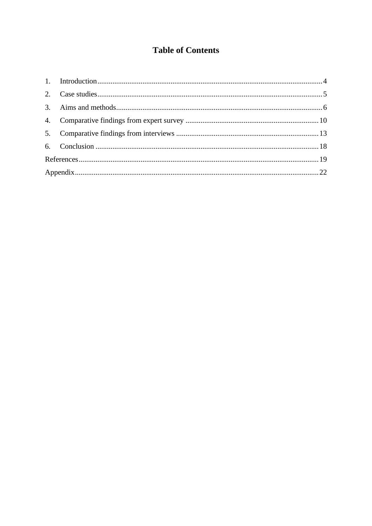## **Table of Contents**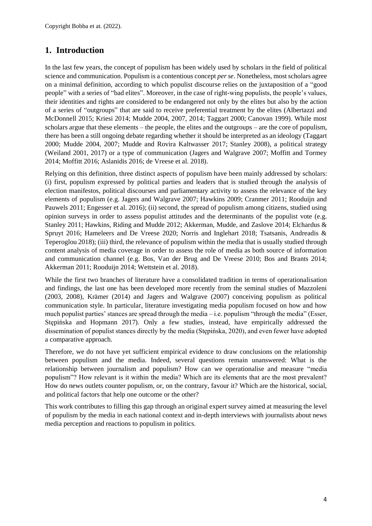## <span id="page-3-0"></span>**1. Introduction**

In the last few years, the concept of populism has been widely used by scholars in the field of political science and communication. Populism is a contentious concept *per se*. Nonetheless, most scholars agree on a minimal definition, according to which populist discourse relies on the juxtaposition of a "good people" with a series of "bad elites". Moreover, in the case of right-wing populists, the people's values, their identities and rights are considered to be endangered not only by the elites but also by the action of a series of "outgroups" that are said to receive preferential treatment by the elites (Albertazzi and McDonnell 2015; Kriesi 2014; Mudde 2004, 2007, 2014; Taggart 2000; Canovan 1999). While most scholars argue that these elements – the people, the elites and the outgroups – are the core of populism, there has been a still ongoing debate regarding whether it should be interpreted as an ideology (Taggart 2000; Mudde 2004, 2007; Mudde and Rovira Kaltwasser 2017; Stanley 2008), a political strategy (Weiland 2001, 2017) or a type of communication (Jagers and Walgrave 2007; Moffitt and Tormey 2014; Moffitt 2016; Aslanidis 2016; de Vreese et al. 2018).

Relying on this definition, three distinct aspects of populism have been mainly addressed by scholars: (i) first, populism expressed by political parties and leaders that is studied through the analysis of election manifestos, political discourses and parliamentary activity to assess the relevance of the key elements of populism (e.g. Jagers and Walgrave 2007; Hawkins 2009; Cranmer 2011; Rooduijn and Pauwels 2011; Engesser et al. 2016); (ii) second, the spread of populism among citizens, studied using opinion surveys in order to assess populist attitudes and the determinants of the populist vote (e.g. Stanley 2011; Hawkins, Riding and Mudde 2012; Akkerman, Mudde, and Zaslove 2014; Elchardus & Spruyt 2016; Hameleers and De Vreese 2020; Norris and Inglehart 2018; Tsatsanis, Andreadis & Teperoglou 2018); (iii) third, the relevance of populism within the media that is usually studied through content analysis of media coverage in order to assess the role of media as both source of information and communication channel (e.g. Bos, Van der Brug and De Vreese 2010; Bos and Brants 2014; Akkerman 2011; Rooduijn 2014; Wettstein et al. 2018).

While the first two branches of literature have a consolidated tradition in terms of operationalisation and findings, the last one has been developed more recently from the seminal studies of Mazzoleni (2003, 2008), Krämer (2014) and Jagers and Walgrave (2007) conceiving populism as political communication style. In particular, literature investigating media populism focused on how and how much populist parties' stances are spread through the media – i.e. populism "through the media" (Esser, Stępińska and Hopmann 2017). Only a few studies, instead, have empirically addressed the dissemination of populist stances directly by the media (Stępińska, 2020), and even fewer have adopted a comparative approach.

Therefore, we do not have yet sufficient empirical evidence to draw conclusions on the relationship between populism and the media. Indeed, several questions remain unanswered: What is the relationship between journalism and populism? How can we operationalise and measure "media populism"? How relevant is it within the media? Which are its elements that are the most prevalent? How do news outlets counter populism, or, on the contrary, favour it? Which are the historical, social, and political factors that help one outcome or the other?

This work contributes to filling this gap through an original expert survey aimed at measuring the level of populism by the media in each national context and in-depth interviews with journalists about news media perception and reactions to populism in politics.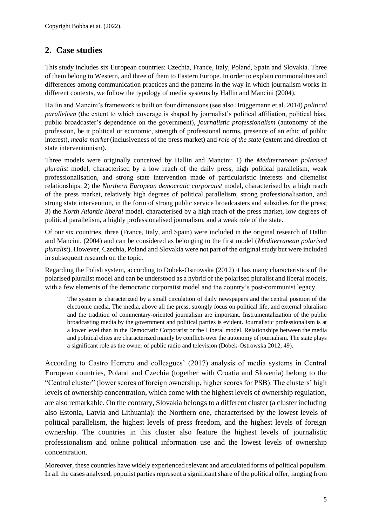## <span id="page-4-0"></span>**2. Case studies**

This study includes six European countries: Czechia, France, Italy, Poland, Spain and Slovakia. Three of them belong to Western, and three of them to Eastern Europe. In order to explain commonalities and differences among communication practices and the patterns in the way in which journalism works in different contexts, we follow the typology of media systems by Hallin and Mancini (2004).

Hallin and Mancini's framework is built on four dimensions (see also Brüggemann et al. 2014) *political parallelism* (the extent to which coverage is shaped by journalist's political affiliation, political bias, public broadcaster's dependence on the government), *journalistic professionalism* (autonomy of the profession, be it political or economic, strength of professional norms, presence of an ethic of public interest), *media market* (inclusiveness of the press market) and *role of the state* (extent and direction of state interventionism).

Three models were originally conceived by Hallin and Mancini: 1) the *Mediterranean polarised pluralist* model, characterised by a low reach of the daily press, high political parallelism, weak professionalisation, and strong state intervention made of particularistic interests and clientelist relationships; 2) the *Northern European democratic corporatist* model, characterised by a high reach of the press market, relatively high degrees of political parallelism, strong professionalisation, and strong state intervention, in the form of strong public service broadcasters and subsidies for the press; 3) the *North Atlantic liberal* model, characterised by a high reach of the press market, low degrees of political parallelism, a highly professionalised journalism, and a weak role of the state.

Of our six countries, three (France, Italy, and Spain) were included in the original research of Hallin and Mancini. (2004) and can be considered as belonging to the first model (*Mediterranean polarised pluralist*). However, Czechia, Poland and Slovakia were not part of the original study but were included in subsequent research on the topic.

Regarding the Polish system, according to Dobek-Ostrowska (2012) it has many characteristics of the polarised pluralist model and can be understood as a hybrid of the polarised pluralist and liberal models, with a few elements of the democratic corporatist model and the country's post-communist legacy.

The system is characterized by a small circulation of daily newspapers and the central position of the electronic media. The media, above all the press, strongly focus on political life, and external pluralism and the tradition of commentary-oriented journalism are important. Instrumentalization of the public broadcasting media by the government and political parties is evident. Journalistic professionalism is at a lower level than in the Democratic Corporatist or the Liberal model. Relationships between the media and political elites are characterized mainly by conflicts over the autonomy of journalism. The state plays a significant role as the owner of public radio and television (Dobek-Ostrowska 2012, 49).

According to Castro Herrero and colleagues' (2017) analysis of media systems in Central European countries, Poland and Czechia (together with Croatia and Slovenia) belong to the "Central cluster" (lower scores of foreign ownership, higher scores for PSB). The clusters' high levels of ownership concentration, which come with the highest levels of ownership regulation, are also remarkable. On the contrary, Slovakia belongs to a different cluster (a cluster including also Estonia, Latvia and Lithuania): the Northern one, characterised by the lowest levels of political parallelism, the highest levels of press freedom, and the highest levels of foreign ownership. The countries in this cluster also feature the highest levels of journalistic professionalism and online political information use and the lowest levels of ownership concentration.

Moreover, these countries have widely experienced relevant and articulated forms of political populism. In all the cases analysed, populist parties represent a significant share of the political offer, ranging from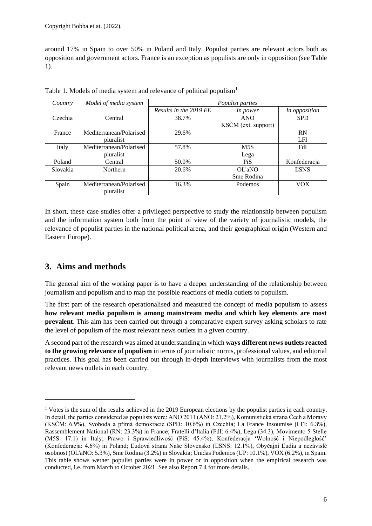around 17% in Spain to over 50% in Poland and Italy. Populist parties are relevant actors both as opposition and government actors. France is an exception as populists are only in opposition (see Table 1).

| Country  | Model of media system   | Populist parties       |                     |               |  |  |  |
|----------|-------------------------|------------------------|---------------------|---------------|--|--|--|
|          |                         | Results in the 2019 EE | In power            | In opposition |  |  |  |
| Czechia  | Central                 | 38.7%                  | <b>ANO</b>          | <b>SPD</b>    |  |  |  |
|          |                         |                        | KSČM (ext. support) |               |  |  |  |
| France   | Mediterranean/Polarised | 29.6%                  |                     | RN            |  |  |  |
|          | pluralist               |                        |                     | LFI           |  |  |  |
| Italy    | Mediterranean/Polarised | 57.8%                  | M5S                 | FdI           |  |  |  |
|          | pluralist               |                        | Lega                |               |  |  |  |
| Poland   | Central                 | 50.0%                  | PiS                 | Konfederacja  |  |  |  |
| Slovakia | Northern                | 20.6%                  | OL'aNO              | <b>ESNS</b>   |  |  |  |
|          |                         |                        | Sme Rodina          |               |  |  |  |
| Spain    | Mediterranean/Polarised | 16.3%                  | Podemos             | <b>VOX</b>    |  |  |  |
|          | <i>pluralist</i>        |                        |                     |               |  |  |  |

Table 1. Models of media system and relevance of political populism<sup>1</sup>

In short, these case studies offer a privileged perspective to study the relationship between populism and the information system both from the point of view of the variety of journalistic models, the relevance of populist parties in the national political arena, and their geographical origin (Western and Eastern Europe).

## <span id="page-5-0"></span>**3. Aims and methods**

The general aim of the working paper is to have a deeper understanding of the relationship between journalism and populism and to map the possible reactions of media outlets to populism.

The first part of the research operationalised and measured the concept of media populism to assess **how relevant media populism is among mainstream media and which key elements are most prevalent**. This aim has been carried out through a comparative expert survey asking scholars to rate the level of populism of the most relevant news outlets in a given country.

A second part of the research was aimed at understanding in which **ways different news outlets reacted to the growing relevance of populism** in terms of journalistic norms, professional values, and editorial practices. This goal has been carried out through in-depth interviews with journalists from the most relevant news outlets in each country.

<sup>&</sup>lt;sup>1</sup> Votes is the sum of the results achieved in the 2019 European elections by the populist parties in each country. In detail, the parties considered as populists were: ANO 2011 (ANO: 21.2%), Komunistická strana Čech a Moravy (KSČM: 6.9%), Svoboda a přímá demokracie (SPD: 10.6%) in Czechia; La France Insoumise (LFI: 6.3%), Rassemblement National (RN: 23.3%) in France; Fratelli d'Italia (FdI: 6.4%), Lega (34.3), Movimento 5 Stelle (M5S: 17.1) in Italy; Prawo i Sprawiedliwość (PiS: 45.4%), Konfederacja 'Wolność i Niepodległość' (Konfederacja: 4.6%) in Poland; Ľudová strana Naše Slovensko (ĽSNS: 12.1%), Obyčajní Ľudia a nezávislé osobnost (OL'aNO: 5.3%), Sme Rodina (3.2%) in Slovakia; Unidas Podemos (UP: 10.1%), VOX (6.2%), in Spain. This table shows wether populist parties were in power or in opposition when the empirical research was conducted, i.e. from March to October 2021. See also Report 7.4 for more details.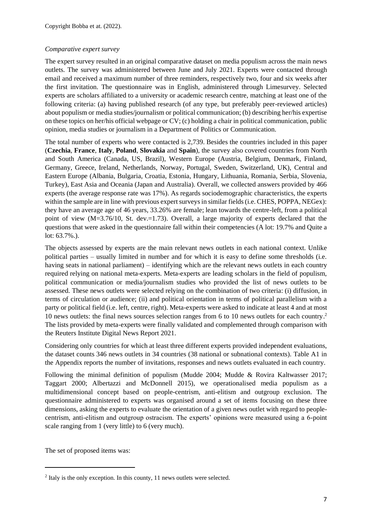#### *Comparative expert survey*

The expert survey resulted in an original comparative dataset on media populism across the main news outlets. The survey was administered between June and July 2021. Experts were contacted through email and received a maximum number of three reminders, respectively two, four and six weeks after the first invitation. The questionnaire was in English, administered through Limesurvey. Selected experts are scholars affiliated to a university or academic research centre, matching at least one of the following criteria: (a) having published research (of any type, but preferably peer-reviewed articles) about populism or media studies/journalism or political communication; (b) describing her/his expertise on these topics on her/his official webpage or CV; (c) holding a chair in political communication, public opinion, media studies or journalism in a Department of Politics or Communication.

The total number of experts who were contacted is 2,739. Besides the countries included in this paper (**Czechia**, **France**, **Italy**, **Poland**, **Slovakia** and **Spain**), the survey also covered countries from North and South America (Canada, US, Brazil), Western Europe (Austria, Belgium, Denmark, Finland, Germany, Greece, Ireland, Netherlands, Norway, Portugal, Sweden, Switzerland, UK), Central and Eastern Europe (Albania, Bulgaria, Croatia, Estonia, Hungary, Lithuania, Romania, Serbia, Slovenia, Turkey), East Asia and Oceania (Japan and Australia). Overall, we collected answers provided by 466 experts (the average response rate was 17%). As regards sociodemographic characteristics, the experts within the sample are in line with previous expert surveys in similar fields (i.e. CHES, POPPA, NEGex): they have an average age of 46 years, 33.26% are female; lean towards the centre-left, from a political point of view (M=3.76/10, St. dev.=1.73). Overall, a large majority of experts declared that the questions that were asked in the questionnaire fall within their competencies (A lot: 19.7% and Quite a lot: 63.7%.).

The objects assessed by experts are the main relevant news outlets in each national context. Unlike political parties – usually limited in number and for which it is easy to define some thresholds (i.e. having seats in national parliament) – identifying which are the relevant news outlets in each country required relying on national meta-experts. Meta-experts are leading scholars in the field of populism, political communication or media/journalism studies who provided the list of news outlets to be assessed. These news outlets were selected relying on the combination of two criteria: (i) diffusion, in terms of circulation or audience; (ii) and political orientation in terms of political parallelism with a party or political field (i.e. left, centre, right). Meta-experts were asked to indicate at least 4 and at most 10 news outlets: the final news sources selection ranges from 6 to 10 news outlets for each country. 2 The lists provided by meta-experts were finally validated and complemented through comparison with the Reuters Institute Digital News Report 2021.

Considering only countries for which at least three different experts provided independent evaluations, the dataset counts 346 news outlets in 34 countries (38 national or subnational contexts). Table A1 in the Appendix reports the number of invitations, responses and news outlets evaluated in each country.

Following the minimal definition of populism (Mudde 2004; Mudde & Rovira Kaltwasser 2017; Taggart 2000; Albertazzi and McDonnell 2015), we operationalised media populism as a multidimensional concept based on people-centrism, anti-elitism and outgroup exclusion. The questionnaire administered to experts was organised around a set of items focusing on these three dimensions, asking the experts to evaluate the orientation of a given news outlet with regard to peoplecentrism, anti-elitism and outgroup ostracism. The experts' opinions were measured using a 6-point scale ranging from 1 (very little) to 6 (very much).

The set of proposed items was:

 $2$  Italy is the only exception. In this county, 11 news outlets were selected.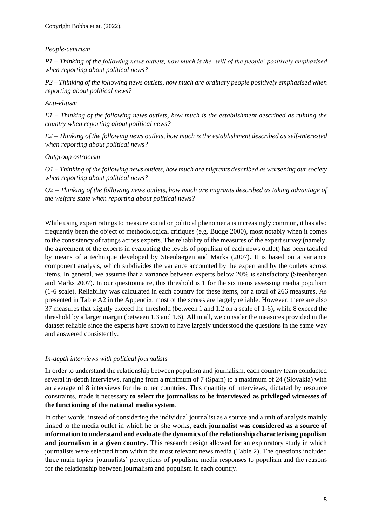#### *People-centrism*

*P1 – Thinking of the following news outlets, how much is the 'will of the people' positively emphasised when reporting about political news?*

*P2 – Thinking of the following news outlets, how much are ordinary people positively emphasised when reporting about political news?*

#### *Anti-elitism*

*E1 – Thinking of the following news outlets, how much is the establishment described as ruining the country when reporting about political news?*

*E2 – Thinking of the following news outlets, how much is the establishment described as self-interested when reporting about political news?*

#### *Outgroup ostracism*

*O1 – Thinking of the following news outlets, how much are migrants described as worsening our society when reporting about political news?*

*O2 – Thinking of the following news outlets, how much are migrants described as taking advantage of the welfare state when reporting about political news?*

While using expert ratings to measure social or political phenomena is increasingly common, it has also frequently been the object of methodological critiques (e.g. Budge 2000), most notably when it comes to the consistency of ratings across experts. The reliability of the measures of the expert survey (namely, the agreement of the experts in evaluating the levels of populism of each news outlet) has been tackled by means of a technique developed by Steenbergen and Marks (2007). It is based on a variance component analysis, which subdivides the variance accounted by the expert and by the outlets across items. In general, we assume that a variance between experts below 20% is satisfactory (Steenbergen and Marks 2007). In our questionnaire, this threshold is 1 for the six items assessing media populism (1-6 scale). Reliability was calculated in each country for these items, for a total of 266 measures. As presented in Table A2 in the Appendix, most of the scores are largely reliable. However, there are also 37 measures that slightly exceed the threshold (between 1 and 1.2 on a scale of 1-6), while 8 exceed the threshold by a larger margin (between 1.3 and 1.6). All in all, we consider the measures provided in the dataset reliable since the experts have shown to have largely understood the questions in the same way and answered consistently.

#### *In-depth interviews with political journalists*

In order to understand the relationship between populism and journalism, each country team conducted several in-depth interviews, ranging from a minimum of 7 (Spain) to a maximum of 24 (Slovakia) with an average of 8 interviews for the other countries. This quantity of interviews, dictated by resource constraints, made it necessary **to select the journalists to be interviewed as privileged witnesses of the functioning of the national media system**.

In other words, instead of considering the individual journalist as a source and a unit of analysis mainly linked to the media outlet in which he or she works**, each journalist was considered as a source of information to understand and evaluate the dynamics of the relationship characterising populism and journalism in a given country**. This research design allowed for an exploratory study in which journalists were selected from within the most relevant news media (Table 2). The questions included three main topics: journalists' perceptions of populism, media responses to populism and the reasons for the relationship between journalism and populism in each country.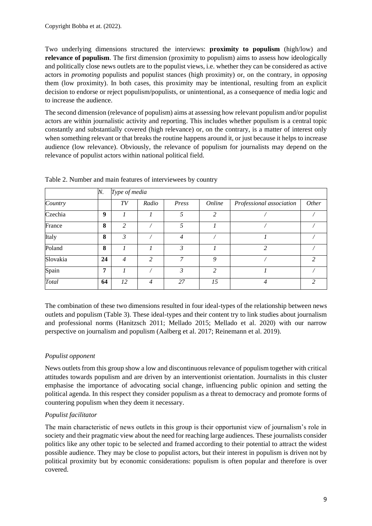Two underlying dimensions structured the interviews: **proximity to populism** (high/low) and **relevance of populism**. The first dimension (proximity to populism) aims to assess how ideologically and politically close news outlets are to the populist views, i.e. whether they can be considered as active actors in *promoting* populists and populist stances (high proximity) or, on the contrary, in *opposing* them (low proximity). In both cases, this proximity may be intentional, resulting from an explicit decision to endorse or reject populism/populists, or unintentional, as a consequence of media logic and to increase the audience.

The second dimension (relevance of populism) aims at assessing how relevant populism and/or populist actors are within journalistic activity and reporting. This includes whether populism is a central topic constantly and substantially covered (high relevance) or, on the contrary, is a matter of interest only when something relevant or that breaks the routine happens around it, or just because it helps to increase audience (low relevance). Obviously, the relevance of populism for journalists may depend on the relevance of populist actors within national political field.

|          | N. | Type of media  |                |                |                |                          |                |
|----------|----|----------------|----------------|----------------|----------------|--------------------------|----------------|
| Country  |    | TV             | Radio          | Press          | Online         | Professional association | <i>Other</i>   |
| Czechia  | 9  |                |                | 5              | $\overline{2}$ |                          |                |
| France   | 8  | 2              |                | 5              |                |                          |                |
| Italy    | 8  | 3              |                | $\overline{4}$ |                |                          |                |
| Poland   | 8  |                |                | 3              |                | $\overline{2}$           |                |
| Slovakia | 24 | $\overline{4}$ | $\overline{c}$ | 7              | 9              |                          | $\overline{c}$ |
| Spain    | 7  |                |                | 3              | $\overline{c}$ |                          |                |
| Total    | 64 | 12             | $\overline{4}$ | 27             | 15             | $\overline{4}$           | $\overline{2}$ |

Table 2. Number and main features of interviewees by country

The combination of these two dimensions resulted in four ideal-types of the relationship between news outlets and populism (Table 3). These ideal-types and their content try to link studies about journalism and professional norms (Hanitzsch 2011; Mellado 2015; Mellado et al. 2020) with our narrow perspective on journalism and populism (Aalberg et al. 2017; Reinemann et al. 2019).

#### *Populist opponent*

News outlets from this group show a low and discontinuous relevance of populism together with critical attitudes towards populism and are driven by an interventionist orientation. Journalists in this cluster emphasise the importance of advocating social change, influencing public opinion and setting the political agenda. In this respect they consider populism as a threat to democracy and promote forms of countering populism when they deem it necessary.

#### *Populist facilitator*

The main characteristic of news outlets in this group is their opportunist view of journalism's role in society and their pragmatic view about the need for reaching large audiences. These journalists consider politics like any other topic to be selected and framed according to their potential to attract the widest possible audience. They may be close to populist actors, but their interest in populism is driven not by political proximity but by economic considerations: populism is often popular and therefore is over covered.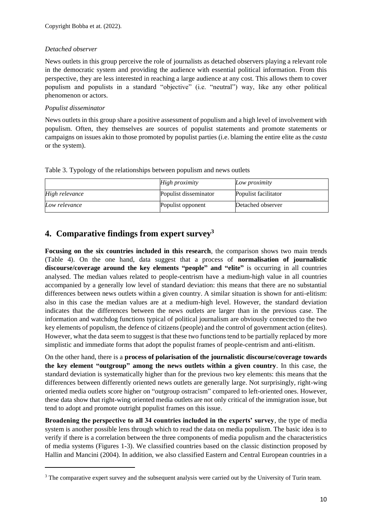#### *Detached observer*

News outlets in this group perceive the role of journalists as detached observers playing a relevant role in the democratic system and providing the audience with essential political information. From this perspective, they are less interested in reaching a large audience at any cost. This allows them to cover populism and populists in a standard "objective" (i.e. "neutral") way, like any other political phenomenon or actors.

#### *Populist disseminator*

News outlets in this group share a positive assessment of populism and a high level of involvement with populism. Often, they themselves are sources of populist statements and promote statements or campaigns on issues akin to those promoted by populist parties (i.e. blaming the entire elite as the *casta* or the system).

Table 3. Typology of the relationships between populism and news outlets

|                | High proximity        | Low proximity        |
|----------------|-----------------------|----------------------|
| High relevance | Populist disseminator | Populist facilitator |
| Low relevance  | Populist opponent     | Detached observer    |

## <span id="page-9-0"></span>**4. Comparative findings from expert survey<sup>3</sup>**

**Focusing on the six countries included in this research**, the comparison shows two main trends (Table 4). On the one hand, data suggest that a process of **normalisation of journalistic discourse/coverage around the key elements "people" and "elite"** is occurring in all countries analysed. The median values related to people-centrism have a medium-high value in all countries accompanied by a generally low level of standard deviation: this means that there are no substantial differences between news outlets within a given country. A similar situation is shown for anti-elitism: also in this case the median values are at a medium-high level. However, the standard deviation indicates that the differences between the news outlets are larger than in the previous case. The information and watchdog functions typical of political journalism are obviously connected to the two key elements of populism, the defence of citizens (people) and the control of government action (elites). However, what the data seem to suggest is that these two functions tend to be partially replaced by more simplistic and immediate forms that adopt the populist frames of people-centrism and anti-elitism.

On the other hand, there is a **process of polarisation of the journalistic discourse/coverage towards the key element "outgroup" among the news outlets within a given country**. In this case, the standard deviation is systematically higher than for the previous two key elements: this means that the differences between differently oriented news outlets are generally large. Not surprisingly, right-wing oriented media outlets score higher on "outgroup ostracism" compared to left-oriented ones. However, these data show that right-wing oriented media outlets are not only critical of the immigration issue, but tend to adopt and promote outright populist frames on this issue.

**Broadening the perspective to all 34 countries included in the experts' survey**, the type of media system is another possible lens through which to read the data on media populism. The basic idea is to verify if there is a correlation between the three components of media populism and the characteristics of media systems (Figures 1-3). We classified countries based on the classic distinction proposed by Hallin and Mancini (2004). In addition, we also classified Eastern and Central European countries in a

<sup>&</sup>lt;sup>3</sup> The comparative expert survey and the subsequent analysis were carried out by the University of Turin team.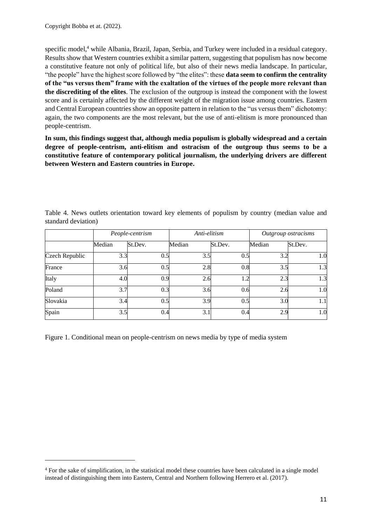specific model,<sup>4</sup> while Albania, Brazil, Japan, Serbia, and Turkey were included in a residual category. Results show that Western countries exhibit a similar pattern, suggesting that populism has now become a constitutive feature not only of political life, but also of their news media landscape. In particular, "the people" have the highest score followed by "the elites": these **data seem to confirm the centrality of the "us versus them" frame with the exaltation of the virtues of the people more relevant than the discrediting of the elites**. The exclusion of the outgroup is instead the component with the lowest score and is certainly affected by the different weight of the migration issue among countries. Eastern and Central European countries show an opposite pattern in relation to the "us versus them" dichotomy: again, the two components are the most relevant, but the use of anti-elitism is more pronounced than people-centrism.

**In sum, this findings suggest that, although media populism is globally widespread and a certain degree of people-centrism, anti-elitism and ostracism of the outgroup thus seems to be a constitutive feature of contemporary political journalism, the underlying drivers are different between Western and Eastern countries in Europe.**

|                |        | People-centrism | Anti-elitism |         | Outgroup ostracisms |         |  |
|----------------|--------|-----------------|--------------|---------|---------------------|---------|--|
|                | Median | St.Dev.         | Median       | St.Dev. | Median              | St.Dev. |  |
| Czech Republic | 3.3    | 0.5             | 3.5          | 0.5     | 3.2                 | 1.0     |  |
| France         | 3.6    | 0.5             | 2.8          | 0.8     | 3.5                 | 1.3     |  |
| Italy          | 4.0    | 0.9             | 2.6          | 1.2     | 2.3                 | 1.3     |  |
| Poland         | 3.7    | 0.3             | 3.6          | 0.6     | 2.6                 | 1.0     |  |
| Slovakia       | 3.4    | 0.5             | 3.9          | 0.5     | 3.0                 | 1.1     |  |
| Spain          | 3.5    | 0.4             | 3.1          | 0.4     | 2.9                 | 1.0     |  |

Table 4. News outlets orientation toward key elements of populism by country (median value and standard deviation)

Figure 1. Conditional mean on people-centrism on news media by type of media system

<sup>4</sup> For the sake of simplification, in the statistical model these countries have been calculated in a single model instead of distinguishing them into Eastern, Central and Northern following Herrero et al. (2017).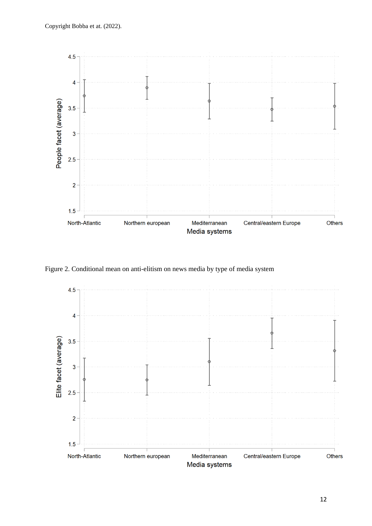

Figure 2. Conditional mean on anti-elitism on news media by type of media system

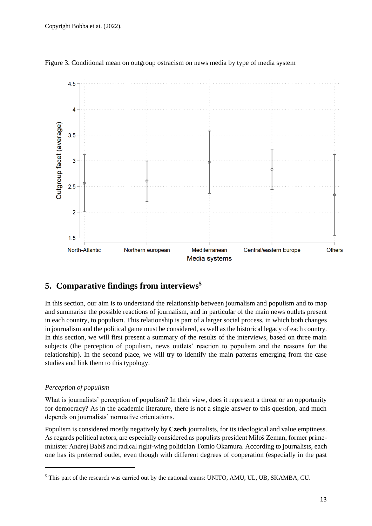

Figure 3. Conditional mean on outgroup ostracism on news media by type of media system

## <span id="page-12-0"></span>**5. Comparative findings from interviews<sup>5</sup>**

In this section, our aim is to understand the relationship between journalism and populism and to map and summarise the possible reactions of journalism, and in particular of the main news outlets present in each country, to populism. This relationship is part of a larger social process, in which both changes in journalism and the political game must be considered, as well as the historical legacy of each country. In this section, we will first present a summary of the results of the interviews, based on three main subjects (the perception of populism, news outlets' reaction to populism and the reasons for the relationship). In the second place, we will try to identify the main patterns emerging from the case studies and link them to this typology.

#### *Perception of populism*

What is journalists' perception of populism? In their view, does it represent a threat or an opportunity for democracy? As in the academic literature, there is not a single answer to this question, and much depends on journalists' normative orientations.

Populism is considered mostly negatively by **Czech** journalists, for its ideological and value emptiness. As regards political actors, are especially considered as populists president Miloš Zeman, former primeminister Andrej Babiš and radical right-wing politician Tomio Okamura. According to journalists, each one has its preferred outlet, even though with different degrees of cooperation (especially in the past

<sup>5</sup> This part of the research was carried out by the national teams: UNITO, AMU, UL, UB, SKAMBA, CU.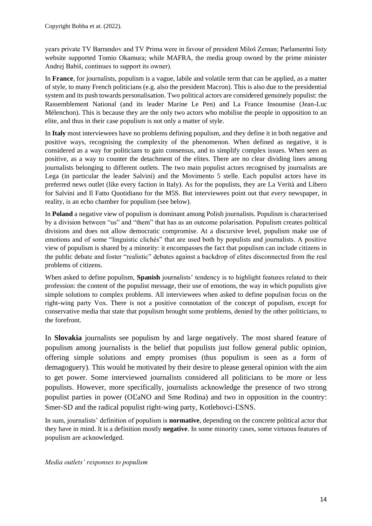years private TV Barrandov and TV Prima were in favour of president Miloš Zeman; Parlamentní listy website supported Tomio Okamura; while MAFRA, the media group owned by the prime minister Andrej Babiš, continues to support its owner).

In **France**, for journalists, populism is a vague, labile and volatile term that can be applied, as a matter of style, to many French politicians (e.g. also the president Macron). This is also due to the presidential system and its push towards personalisation. Two political actors are considered genuinely populist: the Rassemblement National (and its leader Marine Le Pen) and La France Insoumise (Jean-Luc Mélenchon). This is because they are the only two actors who mobilise the people in opposition to an elite, and thus in their case populism is not only a matter of style.

In **Italy** most interviewees have no problems defining populism, and they define it in both negative and positive ways, recognising the complexity of the phenomenon. When defined as negative, it is considered as a way for politicians to gain consensus, and to simplify complex issues. When seen as positive, as a way to counter the detachment of the elites. There are no clear dividing lines among journalists belonging to different outlets. The two main populist actors recognised by journalists are Lega (in particular the leader Salvini) and the Movimento 5 stelle. Each populist actors have its preferred news outlet (like every faction in Italy). As for the populists, they are La Verità and Libero for Salvini and Il Fatto Quotidiano for the M5S. But interviewees point out that *every* newspaper, in reality, is an echo chamber for populism (see below).

In **Poland** a negative view of populism is dominant among Polish journalists. Populism is characterised by a division between "us" and "them" that has as an outcome polarisation. Populism creates political divisions and does not allow democratic compromise. At a discursive level, populism make use of emotions and of some "linguistic clichés" that are used both by populists and journalists. A positive view of populism is shared by a minority: it encompasses the fact that populism can include citizens in the public debate and foster "realistic" debates against a backdrop of elites disconnected from the real problems of citizens.

When asked to define populism, **Spanish** journalists' tendency is to highlight features related to their profession: the content of the populist message, their use of emotions, the way in which populists give simple solutions to complex problems. All interviewees when asked to define populism focus on the right-wing party Vox. There is not a positive connotation of the concept of populism, except for conservative media that state that populism brought some problems, denied by the other politicians, to the forefront.

In **Slovakia** journalists see populism by and large negatively. The most shared feature of populism among journalists is the belief that populists just follow general public opinion, offering simple solutions and empty promises (thus populism is seen as a form of demagoguery). This would be motivated by their desire to please general opinion with the aim to get power. Some interviewed journalists considered all politicians to be more or less populists. However, more specifically, journalists acknowledge the presence of two strong populist parties in power (OĽaNO and Sme Rodina) and two in opposition in the country: Smer-SD and the radical populist right-wing party, Kotlebovci-ĽSNS.

In sum, journalists' definition of populism is **normative**, depending on the concrete political actor that they have in mind. It is a definition mostly **negative**. In some minority cases, some virtuous features of populism are acknowledged.

*Media outlets' responses to populism*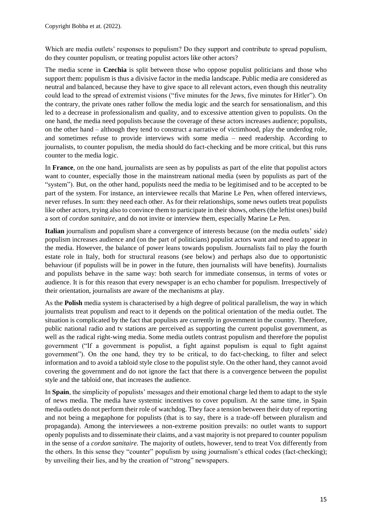Which are media outlets' responses to populism? Do they support and contribute to spread populism, do they counter populism, or treating populist actors like other actors?

The media scene in **Czechia** is split between those who oppose populist politicians and those who support them: populism is thus a divisive factor in the media landscape. Public media are considered as neutral and balanced, because they have to give space to all relevant actors, even though this neutrality could lead to the spread of extremist visions ("five minutes for the Jews, five minutes for Hitler"). On the contrary, the private ones rather follow the media logic and the search for sensationalism, and this led to a decrease in professionalism and quality, and to excessive attention given to populists. On the one hand, the media need populists because the coverage of these actors increases audience; populists, on the other hand – although they tend to construct a narrative of victimhood, play the underdog role, and sometimes refuse to provide interviews with some media – need readership. According to journalists, to counter populism, the media should do fact-checking and be more critical, but this runs counter to the media logic.

In **France**, on the one hand, journalists are seen as by populists as part of the elite that populist actors want to counter, especially those in the mainstream national media (seen by populists as part of the "system"). But, on the other hand, populists need the media to be legitimised and to be accepted to be part of the system. For instance, an interviewee recalls that Marine Le Pen, when offered interviews, never refuses. In sum: they need each other. As for their relationships, some news outlets treat populists like other actors, trying also to convince them to participate in their shows, others (the leftist ones) build a sort of *cordon sanitaire*, and do not invite or interview them, especially Marine Le Pen.

**Italian** journalism and populism share a convergence of interests because (on the media outlets' side) populism increases audience and (on the part of politicians) populist actors want and need to appear in the media. However, the balance of power leans towards populism. Journalists fail to play the fourth estate role in Italy, both for structural reasons (see below) and perhaps also due to opportunistic behaviour (if populists will be in power in the future, then journalists will have benefits). Journalists and populists behave in the same way: both search for immediate consensus, in terms of votes or audience. It is for this reason that every newspaper is an echo chamber for populism. Irrespectively of their orientation, journalists are aware of the mechanisms at play.

As the **Polish** media system is characterised by a high degree of political parallelism, the way in which journalists treat populism and react to it depends on the political orientation of the media outlet. The situation is complicated by the fact that populists are currently in government in the country. Therefore, public national radio and tv stations are perceived as supporting the current populist government, as well as the radical right-wing media. Some media outlets contrast populism and therefore the populist government ("If a government is populist, a fight against populism is equal to fight against government"). On the one hand, they try to be critical, to do fact-checking, to filter and select information and to avoid a tabloid style close to the populist style. On the other hand, they cannot avoid covering the government and do not ignore the fact that there is a convergence between the populist style and the tabloid one, that increases the audience.

In **Spain**, the simplicity of populists' messages and their emotional charge led them to adapt to the style of news media. The media have systemic incentives to cover populism. At the same time, in Spain media outlets do not perform their role of watchdog. They face a tension between their duty of reporting and not being a megaphone for populists (that is to say, there is a trade-off between pluralism and propaganda). Among the interviewees a non-extreme position prevails: no outlet wants to support openly populists and to disseminate their claims, and a vast majority is not prepared to counter populism in the sense of a *cordon sanitaire.* The majority of outlets, however, tend to treat Vox differently from the others. In this sense they "counter" populism by using journalism's ethical codes (fact-checking); by unveiling their lies, and by the creation of "strong" newspapers.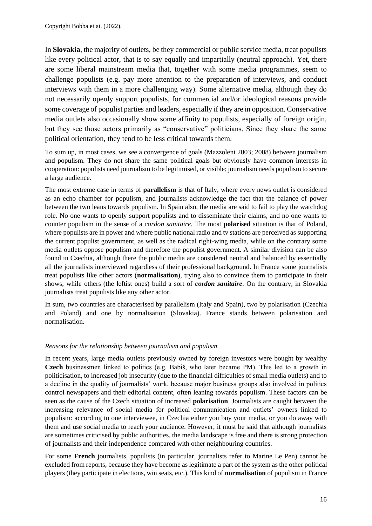In **Slovakia**, the majority of outlets, be they commercial or public service media, treat populists like every political actor, that is to say equally and impartially (neutral approach). Yet, there are some liberal mainstream media that, together with some media programmes, seem to challenge populists (e.g. pay more attention to the preparation of interviews, and conduct interviews with them in a more challenging way). Some alternative media, although they do not necessarily openly support populists, for commercial and/or ideological reasons provide some coverage of populist parties and leaders, especially if they are in opposition. Conservative media outlets also occasionally show some affinity to populists, especially of foreign origin, but they see those actors primarily as "conservative" politicians. Since they share the same political orientation, they tend to be less critical towards them.

To sum up, in most cases, we see a convergence of goals (Mazzoleni 2003; 2008) between journalism and populism. They do not share the same political goals but obviously have common interests in cooperation: populists need journalism to be legitimised, or visible; journalism needs populism to secure a large audience.

The most extreme case in terms of **parallelism** is that of Italy, where every news outlet is considered as an echo chamber for populism, and journalists acknowledge the fact that the balance of power between the two leans towards populism. In Spain also, the media are said to fail to play the watchdog role. No one wants to openly support populists and to disseminate their claims, and no one wants to counter populism in the sense of a *cordon sanitaire*. The most **polarised** situation is that of Poland, where populists are in power and where public national radio and tv stations are perceived as supporting the current populist government, as well as the radical right-wing media, while on the contrary some media outlets oppose populism and therefore the populist government. A similar division can be also found in Czechia, although there the public media are considered neutral and balanced by essentially all the journalists interviewed regardless of their professional background. In France some journalists treat populists like other actors (**normalisation**), trying also to convince them to participate in their shows, while others (the leftist ones) build a sort of *cordon sanitaire*. On the contrary, in Slovakia journalists treat populists like any other actor.

In sum, two countries are characterised by parallelism (Italy and Spain), two by polarisation (Czechia and Poland) and one by normalisation (Slovakia). France stands between polarisation and normalisation.

#### *Reasons for the relationship between journalism and populism*

In recent years, large media outlets previously owned by foreign investors were bought by wealthy **Czech** businessmen linked to politics (e.g. Babiš, who later became PM). This led to a growth in politicisation, to increased job insecurity (due to the financial difficulties of small media outlets) and to a decline in the quality of journalists' work, because major business groups also involved in politics control newspapers and their editorial content, often leaning towards populism. These factors can be seen as the cause of the Czech situation of increased **polarisation**. Journalists are caught between the increasing relevance of social media for political communication and outlets' owners linked to populism: according to one interviewee, in Czechia either you buy your media, or you do away with them and use social media to reach your audience. However, it must be said that although journalists are sometimes criticised by public authorities, the media landscape is free and there is strong protection of journalists and their independence compared with other neighbouring countries.

For some **French** journalists, populists (in particular, journalists refer to Marine Le Pen) cannot be excluded from reports, because they have become as legitimate a part of the system as the other political players (they participate in elections, win seats, etc.). This kind of **normalisation** of populism in France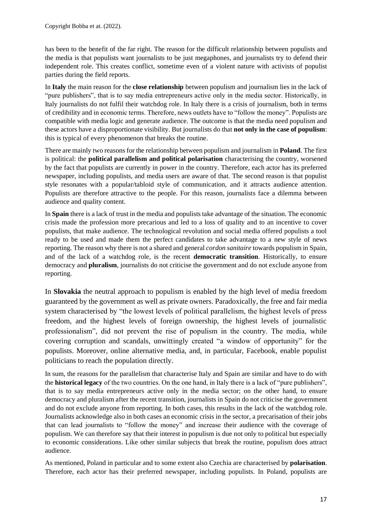has been to the benefit of the far right. The reason for the difficult relationship between populists and the media is that populists want journalists to be just megaphones, and journalists try to defend their independent role. This creates conflict, sometime even of a violent nature with activists of populist parties during the field reports.

In **Italy** the main reason for the **close relationship** between populism and journalism lies in the lack of "pure publishers", that is to say media entrepreneurs active only in the media sector. Historically, in Italy journalists do not fulfil their watchdog role. In Italy there is a crisis of journalism, both in terms of credibility and in economic terms. Therefore, news outlets have to "follow the money". Populists are compatible with media logic and generate audience. The outcome is that the media need populism and these actors have a disproportionate visibility. But journalists do that **not only in the case of populism**: this is typical of every phenomenon that breaks the routine.

There are mainly two reasons for the relationship between populism and journalism in **Poland**. The first is political: the **political parallelism and political polarisation** characterising the country, worsened by the fact that populists are currently in power in the country. Therefore, each actor has its preferred newspaper, including populists, and media users are aware of that. The second reason is that populist style resonates with a popular/tabloid style of communication, and it attracts audience attention. Populists are therefore attractive to the people. For this reason, journalists face a dilemma between audience and quality content.

In **Spain** there is a lack of trust in the media and populists take advantage of the situation. The economic crisis made the profession more precarious and led to a loss of quality and to an incentive to cover populists, that make audience. The technological revolution and social media offered populists a tool ready to be used and made them the perfect candidates to take advantage to a new style of news reporting. The reason why there is not a shared and general *cordon sanitaire* towards populism in Spain, and of the lack of a watchdog role, is the recent **democratic transition**. Historically, to ensure democracy and **pluralism**, journalists do not criticise the government and do not exclude anyone from reporting.

In **Slovakia** the neutral approach to populism is enabled by the high level of media freedom guaranteed by the government as well as private owners. Paradoxically, the free and fair media system characterised by "the lowest levels of political parallelism, the highest levels of press freedom, and the highest levels of foreign ownership, the highest levels of journalistic professionalism", did not prevent the rise of populism in the country. The media, while covering corruption and scandals, unwittingly created "a window of opportunity" for the populists. Moreover, online alternative media, and, in particular, Facebook, enable populist politicians to reach the population directly.

In sum, the reasons for the parallelism that characterise Italy and Spain are similar and have to do with the **historical legacy** of the two countries. On the one hand, in Italy there is a lack of "pure publishers", that is to say media entrepreneurs active only in the media sector; on the other hand, to ensure democracy and pluralism after the recent transition, journalists in Spain do not criticise the government and do not exclude anyone from reporting. In both cases, this results in the lack of the watchdog role. Journalists acknowledge also in both cases an economic crisis in the sector, a precarisation of their jobs that can lead journalists to "follow the money" and increase their audience with the coverage of populism. We can therefore say that their interest in populism is due not only to political but especially to economic considerations. Like other similar subjects that break the routine, populism does attract audience.

As mentioned, Poland in particular and to some extent also Czechia are characterised by **polarisation**. Therefore, each actor has their preferred newspaper, including populists. In Poland, populists are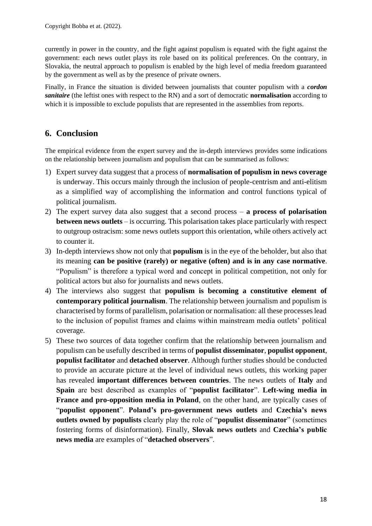currently in power in the country, and the fight against populism is equated with the fight against the government: each news outlet plays its role based on its political preferences. On the contrary, in Slovakia, the neutral approach to populism is enabled by the high level of media freedom guaranteed by the government as well as by the presence of private owners.

Finally, in France the situation is divided between journalists that counter populism with a *cordon sanitaire* (the leftist ones with respect to the RN) and a sort of democratic **normalisation** according to which it is impossible to exclude populists that are represented in the assemblies from reports.

## <span id="page-17-0"></span>**6. Conclusion**

The empirical evidence from the expert survey and the in-depth interviews provides some indications on the relationship between journalism and populism that can be summarised as follows:

- 1) Expert survey data suggest that a process of **normalisation of populism in news coverage** is underway. This occurs mainly through the inclusion of people-centrism and anti-elitism as a simplified way of accomplishing the information and control functions typical of political journalism.
- 2) The expert survey data also suggest that a second process **a process of polarisation between news outlets** – is occurring. This polarisation takes place particularly with respect to outgroup ostracism: some news outlets support this orientation, while others actively act to counter it.
- 3) In-depth interviews show not only that **populism** is in the eye of the beholder, but also that its meaning **can be positive (rarely) or negative (often) and is in any case normative**. "Populism" is therefore a typical word and concept in political competition, not only for political actors but also for journalists and news outlets.
- 4) The interviews also suggest that **populism is becoming a constitutive element of contemporary political journalism**. The relationship between journalism and populism is characterised by forms of parallelism, polarisation or normalisation: all these processes lead to the inclusion of populist frames and claims within mainstream media outlets' political coverage.
- 5) These two sources of data together confirm that the relationship between journalism and populism can be usefully described in terms of **populist disseminator**, **populist opponent**, **populist facilitator** and **detached observer**. Although further studies should be conducted to provide an accurate picture at the level of individual news outlets, this working paper has revealed **important differences between countries**. The news outlets of **Italy** and **Spain** are best described as examples of "**populist facilitator**". **Left-wing media in France and pro-opposition media in Poland**, on the other hand, are typically cases of "**populist opponent**". **Poland's pro-government news outlets** and **Czechia's news outlets owned by populists** clearly play the role of "**populist disseminator**" (sometimes fostering forms of disinformation). Finally, **Slovak news outlets** and **Czechia's public news media** are examples of "**detached observers**".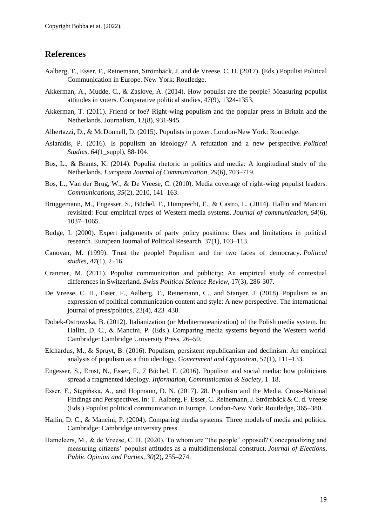## <span id="page-18-0"></span>**References**

- Aalberg, T., Esser, F., Reinemann, Strömbäck, J. and de Vreese, C. H. (2017). (Eds.) Populist Political Communication in Europe. New York: Routledge.
- Akkerman, A., Mudde, C., & Zaslove, A. (2014). How populist are the people? Measuring populist attitudes in voters. Comparative political studies, 47(9), 1324-1353.
- Akkerman, T. (2011). Friend or foe? Right-wing populism and the popular press in Britain and the Netherlands. Journalism, 12(8), 931-945.
- Albertazzi, D., & McDonnell, D. (2015). Populists in power. London-New York: Routledge.
- Aslanidis, P. (2016). Is populism an ideology? A refutation and a new perspective. *Political Studies, 64*(1\_suppl), 88-104.
- Bos, L., & Brants, K. (2014). Populist rhetoric in politics and media: A longitudinal study of the Netherlands. *European Journal of Communication, 29*(6), 703–719.
- Bos, L., Van der Brug, W., & De Vreese, C. (2010). Media coverage of right-wing populist leaders. *Communications, 35*(2), 2010, 141–163.
- Brüggemann, M., Engesser, S., Büchel, F., Humprecht, E., & Castro, L. (2014). Hallin and Mancini revisited: Four empirical types of Western media systems. *Journal of communication, 64*(6), 1037–1065.
- Budge, I. (2000). Expert judgements of party policy positions: Uses and limitations in political research. European Journal of Political Research, 37(1), 103–113.
- Canovan, M. (1999). Trust the people! Populism and the two faces of democracy. *Political studies, 47*(1), 2–16.
- Cranmer, M. (2011). Populist communication and publicity: An empirical study of contextual differences in Switzerland. *Swiss Political Science Review*, 17(3), 286-307.
- De Vreese, C. H., Esser, F., Aalberg, T., Reinemann, C., and Stanyer, J. (2018). Populism as an expression of political communication content and style: A new perspective. The international journal of press/politics, 23(4), 423–438.
- Dobek-Ostrowska, B. (2012). Italianization (or Mediterraneanization) of the Polish media system. In: Hallin, D. C., & Mancini, P. (Eds.). Comparing media systems beyond the Western world. Cambridge: Cambridge University Press, 26–50.
- Elchardus, M., & Spruyt, B. (2016). Populism, persistent republicanism and declinism: An empirical analysis of populism as a thin ideology. *Government and Opposition, 51*(1), 111–133.
- Engesser, S., Ernst, N., Esser, F., 7 Büchel, F. (2016). Populism and social media: how politicians spread a fragmented ideology. *Information, Communication & Society,* 1–18.
- Esser, F., Stępińska, A., and Hopmann, D. N. (2017). 28. Populism and the Media. Cross-National Findings and Perspectives. In: T. Aalberg, F. Esser, C. Reinemann, J. Strömbäck & C. d. Vreese (Eds.) Populist political communication in Europe. London-New York: Routledge, 365–380.
- Hallin, D. C., & Mancini, P. (2004). Comparing media systems: Three models of media and politics. Cambridge: Cambridge university press.
- Hameleers, M., & de Vreese, C. H. (2020). To whom are "the people" opposed? Conceptualizing and measuring citizens' populist attitudes as a multidimensional construct. *Journal of Elections, Public Opinion and Parties, 30*(2), 255–274.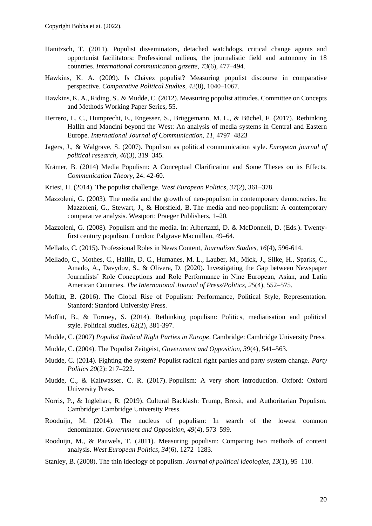- Hanitzsch, T. (2011). Populist disseminators, detached watchdogs, critical change agents and opportunist facilitators: Professional milieus, the journalistic field and autonomy in 18 countries. *International communication gazette, 73*(6), 477–494.
- Hawkins, K. A. (2009). Is Chávez populist? Measuring populist discourse in comparative perspective. *Comparative Political Studies, 42*(8), 1040–1067.
- Hawkins, K. A., Riding, S., & Mudde, C. (2012). Measuring populist attitudes. Committee on Concepts and Methods Working Paper Series, 55.
- Herrero, L. C., Humprecht, E., Engesser, S., Brüggemann, M. L., & Büchel, F. (2017). Rethinking Hallin and Mancini beyond the West: An analysis of media systems in Central and Eastern Europe. *International Journal of Communication, 11*, 4797–4823
- Jagers, J., & Walgrave, S. (2007). Populism as political communication style. *European journal of political research, 46*(3), 319–345.
- Krämer, B. (2014) Media Populism: A Conceptual Clarification and Some Theses on its Effects. *Communication Theory*, 24: 42-60.
- Kriesi, H. (2014). The populist challenge. *West European Politics, 37*(2), 361–378.
- Mazzoleni, G. (2003). The media and the growth of neo-populism in contemporary democracies. In: Mazzoleni, G., Stewart, J., & Horsfield, B. The media and neo-populism: A contemporary comparative analysis. Westport: Praeger Publishers, 1–20.
- Mazzoleni, G. (2008). Populism and the media. In: Albertazzi, D. & McDonnell, D. (Eds.). Twentyfirst century populism. London: Palgrave Macmillan, 49–64.
- Mellado, C. (2015). Professional Roles in News Content, *Journalism Studies, 16*(4), 596-614.
- Mellado, C., Mothes, C., Hallin, D. C., Humanes, M. L., Lauber, M., Mick, J., Silke, H., Sparks, C., Amado, A., Davydov, S., & Olivera, D. (2020). Investigating the Gap between Newspaper Journalists' Role Conceptions and Role Performance in Nine European, Asian, and Latin American Countries. *The International Journal of Press/Politics, 25*(4), 552–575.
- Moffitt, B. (2016). The Global Rise of Populism: Performance, Political Style, Representation. Stanford: Stanford University Press.
- Moffitt, B., & Tormey, S. (2014). Rethinking populism: Politics, mediatisation and political style. Political studies, 62(2), 381-397.
- Mudde, C. (2007) *Populist Radical Right Parties in Europe*. Cambridge: Cambridge University Press.
- Mudde, C. (2004). The Populist Zeitgeist, *Government and Opposition, 39*(4), 541–563.
- Mudde, C. (2014). Fighting the system? Populist radical right parties and party system change. *Party Politics 20*(2): 217–222.
- Mudde, C., & Kaltwasser, C. R. (2017). Populism: A very short introduction. Oxford: Oxford University Press.
- Norris, P., & Inglehart, R. (2019). Cultural Backlash: Trump, Brexit, and Authoritarian Populism. Cambridge: Cambridge University Press.
- Rooduijn, M. (2014). The nucleus of populism: In search of the lowest common denominator. *Government and Opposition, 49*(4), 573–599.
- Rooduijn, M., & Pauwels, T. (2011). Measuring populism: Comparing two methods of content analysis. *West European Politics, 34*(6), 1272–1283.
- Stanley, B. (2008). The thin ideology of populism. *Journal of political ideologies, 13*(1), 95–110.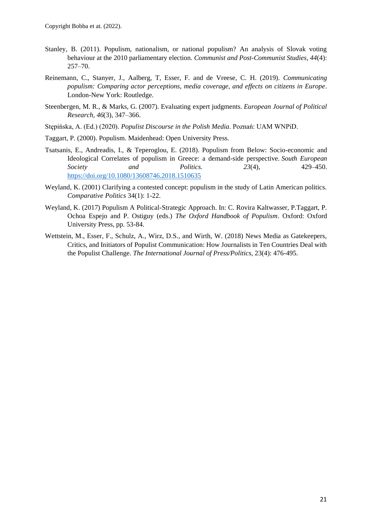- Stanley, B. (2011). Populism, nationalism, or national populism? An analysis of Slovak voting behaviour at the 2010 parliamentary election. *Communist and Post-Communist Studies, 44*(4): 257–70.
- Reinemann, C., Stanyer, J., Aalberg, T, Esser, F. and de Vreese, C. H. (2019). *Communicating populism: Comparing actor perceptions, media coverage, and effects on citizens in Europe*. London-New York: Routledge.
- Steenbergen, M. R., & Marks, G. (2007). Evaluating expert judgments. *European Journal of Political Research, 46*(3), 347–366.
- Stępińska, A. (Ed.) (2020). *Populist Discourse in the Polish Media*. Poznań: UAM WNPiD.
- Taggart, P. (2000). Populism. Maidenhead: Open University Press.
- Tsatsanis, E., Andreadis, I., & Teperoglou, E. (2018). Populism from Below: Socio-economic and Ideological Correlates of populism in Greece: a demand-side perspective. *South European Society and Politics. 23*(4), 429–450. <https://doi.org/10.1080/13608746.2018.1510635>
- Weyland, K. (2001) Clarifying a contested concept: populism in the study of Latin American politics. *Comparative Politics* 34(1): 1-22.
- Weyland, K. (2017) Populism A Political-Strategic Approach. In: C. Rovira Kaltwasser, P.Taggart, P. Ochoa Espejo and P. Ostiguy (eds.) *The Oxford Handbook of Populism*. Oxford: Oxford University Press, pp. 53-84.
- Wettstein, M., Esser, F., Schulz, A., Wirz, D.S., and Wirth, W. (2018) News Media as Gatekeepers, Critics, and Initiators of Populist Communication: How Journalists in Ten Countries Deal with the Populist Challenge. *The International Journal of Press/Politics*, 23(4): 476-495.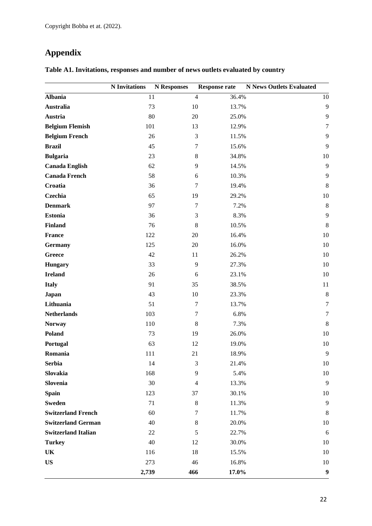## <span id="page-21-0"></span>**Appendix**

|                            | <b>N</b> Invitations | <b>N</b> Responses |                  | <b>Response rate</b> | <b>N News Outlets Evaluated</b> |                  |
|----------------------------|----------------------|--------------------|------------------|----------------------|---------------------------------|------------------|
| <b>Albania</b>             | 11                   |                    | $\overline{4}$   | 36.4%                |                                 | 10               |
| <b>Australia</b>           | 73                   |                    | $10\,$           | 13.7%                |                                 | 9                |
| Austria                    | 80                   |                    | 20               | 25.0%                |                                 | 9                |
| <b>Belgium Flemish</b>     | 101                  |                    | 13               | 12.9%                |                                 | $\tau$           |
| <b>Belgium French</b>      | 26                   |                    | 3                | 11.5%                |                                 | 9                |
| <b>Brazil</b>              | 45                   |                    | 7                | 15.6%                |                                 | 9                |
| <b>Bulgaria</b>            | 23                   |                    | $8\,$            | 34.8%                |                                 | $10\,$           |
| <b>Canada English</b>      | 62                   |                    | 9                | 14.5%                |                                 | $\mathbf{9}$     |
| <b>Canada French</b>       | 58                   |                    | 6                | 10.3%                |                                 | 9                |
| Croatia                    | 36                   |                    | 7                | 19.4%                |                                 | $\,8\,$          |
| Czechia                    | 65                   |                    | 19               | 29.2%                |                                 | $10\,$           |
| <b>Denmark</b>             | 97                   |                    | $\tau$           | 7.2%                 |                                 | $\,8\,$          |
| <b>Estonia</b>             | 36                   |                    | 3                | 8.3%                 |                                 | 9                |
| <b>Finland</b>             | 76                   |                    | $\,$ 8 $\,$      | 10.5%                |                                 | $\,8\,$          |
| <b>France</b>              | 122                  |                    | $20\,$           | 16.4%                |                                 | $10\,$           |
| <b>Germany</b>             | 125                  |                    | 20               | 16.0%                |                                 | 10               |
| Greece                     | 42                   |                    | 11               | 26.2%                |                                 | $10\,$           |
| <b>Hungary</b>             | 33                   |                    | 9                | 27.3%                |                                 | $10\,$           |
| <b>Ireland</b>             | 26                   |                    | $\sqrt{6}$       | 23.1%                |                                 | $10\,$           |
| <b>Italy</b>               | 91                   |                    | 35               | 38.5%                |                                 | 11               |
| <b>Japan</b>               | 43                   |                    | 10               | 23.3%                |                                 | $\,8\,$          |
| Lithuania                  | 51                   |                    | $\boldsymbol{7}$ | 13.7%                |                                 | $\overline{7}$   |
| <b>Netherlands</b>         | 103                  |                    | $\boldsymbol{7}$ | 6.8%                 |                                 | $\overline{7}$   |
| <b>Norway</b>              | 110                  |                    | $\,8\,$          | 7.3%                 |                                 | $\,8\,$          |
| Poland                     | 73                   |                    | 19               | 26.0%                |                                 | $10\,$           |
| Portugal                   | 63                   |                    | 12               | 19.0%                |                                 | $10\,$           |
| Romania                    | 111                  |                    | 21               | 18.9%                |                                 | 9                |
| <b>Serbia</b>              | 14                   |                    | $\mathfrak 3$    | 21.4%                |                                 | $10\,$           |
| Slovakia                   | 168                  |                    | 9                | 5.4%                 |                                 | 10               |
| Slovenia                   | 30                   |                    | $\overline{4}$   | 13.3%                |                                 | 9                |
| <b>Spain</b>               | 123                  |                    | 37               | 30.1%                |                                 | 10               |
| <b>Sweden</b>              | 71                   |                    | $\,8\,$          | 11.3%                |                                 | 9                |
| <b>Switzerland French</b>  | 60                   |                    | 7                | 11.7%                |                                 | 8                |
| <b>Switzerland German</b>  | 40                   |                    | 8                | 20.0%                |                                 | $10\,$           |
| <b>Switzerland Italian</b> | 22                   |                    | $\mathfrak s$    | 22.7%                |                                 | 6                |
| <b>Turkey</b>              | 40                   |                    | 12               | 30.0%                |                                 | 10               |
| UK                         | 116                  |                    | 18               | 15.5%                |                                 | 10               |
| <b>US</b>                  | 273                  |                    | 46               | 16.8%                |                                 | 10               |
|                            | 2,739                |                    | 466              | 17.0%                |                                 | $\boldsymbol{9}$ |

### **Table A1. Invitations, responses and number of news outlets evaluated by country**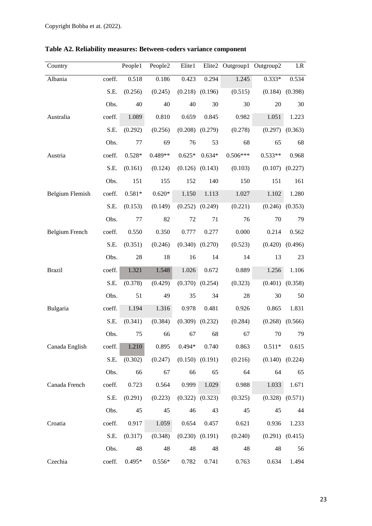| Country                |        | People1  | People2  | Elite1   |                     | Elite2 Outgroup1 Outgroup2 |           | LR                  |
|------------------------|--------|----------|----------|----------|---------------------|----------------------------|-----------|---------------------|
| Albania                | coeff. | 0.518    | 0.186    | 0.423    | 0.294               | 1.245                      | $0.333*$  | 0.534               |
|                        | S.E.   | (0.256)  | (0.245)  |          | $(0.218)$ $(0.196)$ | (0.515)                    | (0.184)   | (0.398)             |
|                        | Obs.   | 40       | 40       | 40       | 30                  | 30                         | 20        | 30                  |
| Australia              | coeff. | 1.089    | 0.810    | 0.659    | 0.845               | 0.982                      | 1.051     | 1.223               |
|                        | S.E.   | (0.292)  | (0.256)  |          | $(0.208)$ $(0.279)$ | (0.278)                    | (0.297)   | (0.363)             |
|                        | Obs.   | 77       | 69       | 76       | 53                  | 68                         | 65        | 68                  |
| Austria                | coeff. | $0.528*$ | 0.489**  | $0.625*$ | $0.634*$            | $0.506***$                 | $0.533**$ | 0.968               |
|                        | S.E.   | (0.161)  | (0.124)  |          | $(0.126)$ $(0.143)$ | (0.103)                    | (0.107)   | (0.227)             |
|                        | Obs.   | 151      | 155      | 152      | 140                 | 150                        | 151       | 161                 |
| <b>Belgium Flemish</b> | coeff. | $0.581*$ | $0.620*$ | 1.150    | 1.113               | 1.027                      | 1.102     | 1.280               |
|                        | S.E.   | (0.153)  | (0.149)  |          | $(0.252)$ $(0.249)$ | (0.221)                    |           | $(0.246)$ $(0.353)$ |
|                        | Obs.   | 77       | 82       | 72       | 71                  | 76                         | 70        | 79                  |
| <b>Belgium French</b>  | coeff. | 0.550    | 0.350    | 0.777    | 0.277               | 0.000                      | 0.214     | 0.562               |
|                        | S.E.   | (0.351)  | (0.246)  |          | $(0.340)$ $(0.270)$ | (0.523)                    | (0.420)   | (0.496)             |
|                        | Obs.   | 28       | 18       | 16       | 14                  | 14                         | 13        | 23                  |
| <b>Brazil</b>          | coeff. | 1.321    | 1.548    | 1.026    | 0.672               | 0.889                      | 1.256     | 1.106               |
|                        | S.E.   | (0.378)  | (0.429)  |          | $(0.370)$ $(0.254)$ | (0.323)                    | (0.401)   | (0.358)             |
|                        | Obs.   | 51       | 49       | 35       | 34                  | 28                         | 30        | 50                  |
| Bulgaria               | coeff. | 1.194    | 1.316    | 0.978    | 0.481               | 0.926                      | 0.865     | 1.831               |
|                        | S.E.   | (0.341)  | (0.384)  |          | $(0.309)$ $(0.232)$ | (0.284)                    | (0.268)   | (0.566)             |
|                        | Obs.   | 75       | 66       | 67       | 68                  | 67                         | 70        | 79                  |
| Canada English         | coeff. | 1.210    | 0.895    | $0.494*$ | 0.740               | 0.863                      | $0.511*$  | 0.615               |
|                        | S.E.   | (0.302)  | (0.247)  |          | $(0.150)$ $(0.191)$ | (0.216)                    | (0.140)   | (0.224)             |
|                        | Obs.   | 66       | 67       | 66       | 65                  | 64                         | 64        | 65                  |
| Canada French          | coeff. | 0.723    | 0.564    | 0.999    | 1.029               | 0.988                      | 1.033     | 1.671               |
|                        | S.E.   | (0.291)  | (0.223)  |          | $(0.322)$ $(0.323)$ | (0.325)                    |           | $(0.328)$ $(0.571)$ |
|                        | Obs.   | 45       | 45       | 46       | 43                  | 45                         | 45        | 44                  |
| Croatia                | coeff. | 0.917    | 1.059    | 0.654    | 0.457               | 0.621                      | 0.936     | 1.233               |
|                        | S.E.   | (0.317)  | (0.348)  |          | $(0.230)$ $(0.191)$ | (0.240)                    | (0.291)   | (0.415)             |
|                        | Obs.   | 48       | 48       | 48       | 48                  | 48                         | 48        | 56                  |
| Czechia                | coeff. | $0.495*$ | $0.556*$ | 0.782    | 0.741               | 0.763                      | 0.634     | 1.494               |

**Table A2. Reliability measures: Between-coders variance component**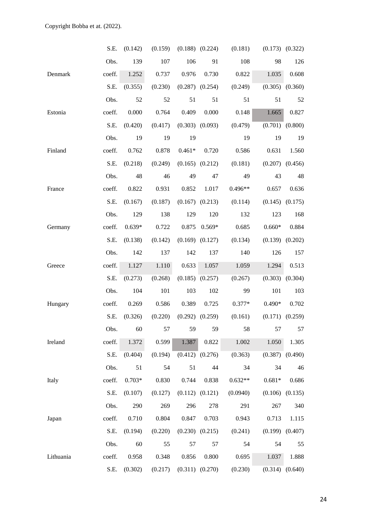|           | S.E.   | (0.142)  | (0.159) |          | $(0.188)$ $(0.224)$ | (0.181)   | (0.173)             | (0.322)             |
|-----------|--------|----------|---------|----------|---------------------|-----------|---------------------|---------------------|
|           | Obs.   | 139      | 107     | 106      | 91                  | 108       | 98                  | 126                 |
| Denmark   | coeff. | 1.252    | 0.737   | 0.976    | 0.730               | 0.822     | 1.035               | 0.608               |
|           | S.E.   | (0.355)  | (0.230) |          | $(0.287)$ $(0.254)$ | (0.249)   | $(0.305)$ $(0.360)$ |                     |
|           | Obs.   | 52       | 52      | 51       | 51                  | 51        | 51                  | 52                  |
| Estonia   | coeff. | 0.000    | 0.764   | 0.409    | 0.000               | 0.148     | 1.665               | 0.827               |
|           | S.E.   | (0.420)  | (0.417) |          | $(0.303)$ $(0.093)$ | (0.479)   | $(0.701)$ $(0.800)$ |                     |
|           | Obs.   | 19       | 19      | 19       |                     | 19        | 19                  | 19                  |
| Finland   | coeff. | 0.762    | 0.878   | $0.461*$ | 0.720               | 0.586     | 0.631               | 1.560               |
|           | S.E.   | (0.218)  | (0.249) |          | $(0.165)$ $(0.212)$ | (0.181)   | $(0.207)$ $(0.456)$ |                     |
|           | Obs.   | 48       | 46      | 49       | 47                  | 49        | 43                  | 48                  |
| France    | coeff. | 0.822    | 0.931   | 0.852    | 1.017               | $0.496**$ | 0.657               | 0.636               |
|           | S.E.   | (0.167)  | (0.187) |          | $(0.167)$ $(0.213)$ | (0.114)   | (0.145)             | (0.175)             |
|           | Obs.   | 129      | 138     | 129      | 120                 | 132       | 123                 | 168                 |
| Germany   | coeff. | $0.639*$ | 0.722   | 0.875    | $0.569*$            | 0.685     | $0.660*$            | 0.884               |
|           | S.E.   | (0.138)  | (0.142) |          | $(0.169)$ $(0.127)$ | (0.134)   | (0.139)             | (0.202)             |
|           | Obs.   | 142      | 137     | 142      | 137                 | 140       | 126                 | 157                 |
| Greece    | coeff. | 1.127    | 1.110   | 0.633    | 1.057               | 1.059     | 1.294               | 0.513               |
|           | S.E.   | (0.273)  | (0.268) |          | $(0.185)$ $(0.257)$ | (0.267)   |                     | $(0.303)$ $(0.304)$ |
|           | Obs.   | 104      | 101     | 103      | 102                 | 99        | 101                 | 103                 |
| Hungary   | coeff. | 0.269    | 0.586   | 0.389    | 0.725               | $0.377*$  | $0.490*$            | 0.702               |
|           | S.E.   | (0.326)  | (0.220) |          | $(0.292)$ $(0.259)$ | (0.161)   |                     | $(0.171)$ $(0.259)$ |
|           | Obs.   | 60       | 57      | 59       | 59                  | 58        | 57                  | 57                  |
| Ireland   | coeff. | 1.372    | 0.599   | 1.387    | 0.822               | 1.002     | 1.050               | 1.305               |
|           | S.E.   | (0.404)  | (0.194) |          | $(0.412)$ $(0.276)$ | (0.363)   |                     | $(0.387)$ $(0.490)$ |
|           | Obs.   | 51       | 54      | 51       | 44                  | 34        | 34                  | 46                  |
| Italy     | coeff. | $0.703*$ | 0.830   | 0.744    | 0.838               | $0.632**$ | $0.681*$            | 0.686               |
|           | S.E.   | (0.107)  | (0.127) |          | $(0.112)$ $(0.121)$ | (0.0940)  | (0.106)             | (0.135)             |
|           | Obs.   | 290      | 269     | 296      | 278                 | 291       | 267                 | 340                 |
| Japan     | coeff. | 0.710    | 0.804   | 0.847    | 0.703               | 0.943     | 0.713               | 1.115               |
|           | S.E.   | (0.194)  | (0.220) |          | $(0.230)$ $(0.215)$ | (0.241)   | (0.199)             | (0.407)             |
|           | Obs.   | 60       | 55      | 57       | 57                  | 54        | 54                  | 55                  |
| Lithuania | coeff. | 0.958    | 0.348   | 0.856    | 0.800               | 0.695     | 1.037               | 1.888               |
|           | S.E.   | (0.302)  | (0.217) |          | $(0.311)$ $(0.270)$ | (0.230)   |                     | $(0.314)$ $(0.640)$ |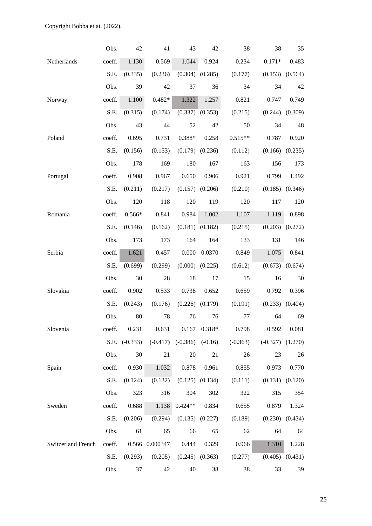|                    | Obs.   | 42                | 41             | 43                              | 42                  | 38         | 38                   | 35      |
|--------------------|--------|-------------------|----------------|---------------------------------|---------------------|------------|----------------------|---------|
| Netherlands        | coeff. | 1.130             | 0.569          | 1.044                           | 0.924               | 0.234      | $0.171*$             | 0.483   |
|                    | S.E.   | (0.335)           | (0.236)        |                                 | $(0.304)$ $(0.285)$ | (0.177)    | (0.153)              | (0.564) |
|                    | Obs.   | 39                | 42             | 37                              | 36                  | 34         | 34                   | 42      |
| Norway             | coeff. | 1.100             | $0.482*$       | 1.322                           | 1.257               | 0.821      | 0.747                | 0.749   |
|                    | S.E.   | (0.315)           | (0.174)        |                                 | $(0.337)$ $(0.353)$ | (0.215)    | (0.244)              | (0.309) |
|                    | Obs.   | 43                | 44             | 52                              | 42                  | 50         | 34                   | 48      |
| Poland             | coeff. | 0.695             | 0.731          | $0.388*$                        | 0.258               | $0.515**$  | 0.787                | 0.920   |
|                    | S.E.   | (0.156)           | (0.153)        | (0.179)                         | (0.236)             | (0.112)    | (0.166)              | (0.235) |
|                    | Obs.   | 178               | 169            | 180                             | 167                 | 163        | 156                  | 173     |
| Portugal           | coeff. | 0.908             | 0.967          | 0.650                           | 0.906               | 0.921      | 0.799                | 1.492   |
|                    | S.E.   | (0.211)           | (0.217)        | $(0.157)$ $(0.206)$             |                     | (0.210)    | (0.185)              | (0.346) |
|                    | Obs.   | 120               | 118            | 120                             | 119                 | 120        | 117                  | 120     |
| Romania            | coeff. | $0.566*$          | 0.841          | 0.984                           | 1.002               | 1.107      | 1.119                | 0.898   |
|                    | S.E.   | (0.146)           | (0.162)        |                                 | $(0.181)$ $(0.182)$ | (0.215)    | $(0.203)$ $(0.272)$  |         |
|                    | Obs.   | 173               | 173            | 164                             | 164                 | 133        | 131                  | 146     |
| Serbia             | coeff. | 1.621             | 0.457          | 0.000                           | 0.0370              | 0.849      | 1.075                | 0.841   |
|                    | S.E.   | (0.699)           | (0.299)        | (0.000)                         | (0.225)             | (0.612)    | (0.673)              | (0.674) |
|                    | Obs.   | 30                | 28             | 18                              | 17                  | 15         | 16                   | 30      |
| Slovakia           | coeff. | 0.902             | 0.533          | 0.738                           | 0.652               | 0.659      | 0.792                | 0.396   |
|                    | S.E.   | (0.243)           | (0.176)        | (0.226)                         | (0.179)             | (0.191)    | (0.233)              | (0.404) |
|                    | Obs.   | 80                | 78             | 76                              | 76                  | 77         | 64                   | 69      |
| Slovenia           | coeff. | 0.231             | 0.631          | 0.167                           | $0.318*$            | 0.798      | 0.592                | 0.081   |
|                    |        | $S.E.$ $(-0.333)$ |                | $(-0.417)$ $(-0.386)$ $(-0.16)$ |                     | $(-0.363)$ | $(-0.327)$ $(1.270)$ |         |
|                    | Obs.   | 30                | 21             | 20                              | 21                  | 26         | 23                   | 26      |
| Spain              | coeff. | 0.930             | 1.032          | 0.878                           | 0.961               | 0.855      | 0.973                | 0.770   |
|                    | S.E.   | (0.124)           | (0.132)        |                                 | $(0.125)$ $(0.134)$ | (0.111)    | (0.131)              | (0.120) |
|                    | Obs.   | 323               | 316            | 304                             | 302                 | 322        | 315                  | 354     |
| Sweden             | coeff. | 0.688             | 1.138          | $0.424**$                       | 0.834               | 0.655      | 0.879                | 1.324   |
|                    | S.E.   | (0.206)           | (0.294)        |                                 | $(0.135)$ $(0.227)$ | (0.189)    | $(0.230)$ $(0.434)$  |         |
|                    | Obs.   | 61                | 65             | 66                              | 65                  | 62         | 64                   | 64      |
| Switzerland French | coeff. |                   | 0.566 0.000347 | 0.444                           | 0.329               | 0.966      | 1.310                | 1.228   |
|                    | S.E.   | (0.293)           | (0.205)        |                                 | $(0.245)$ $(0.363)$ | (0.277)    | $(0.405)$ $(0.431)$  |         |
|                    | Obs.   | 37                | 42             | 40                              | 38                  | 38         | 33                   | 39      |